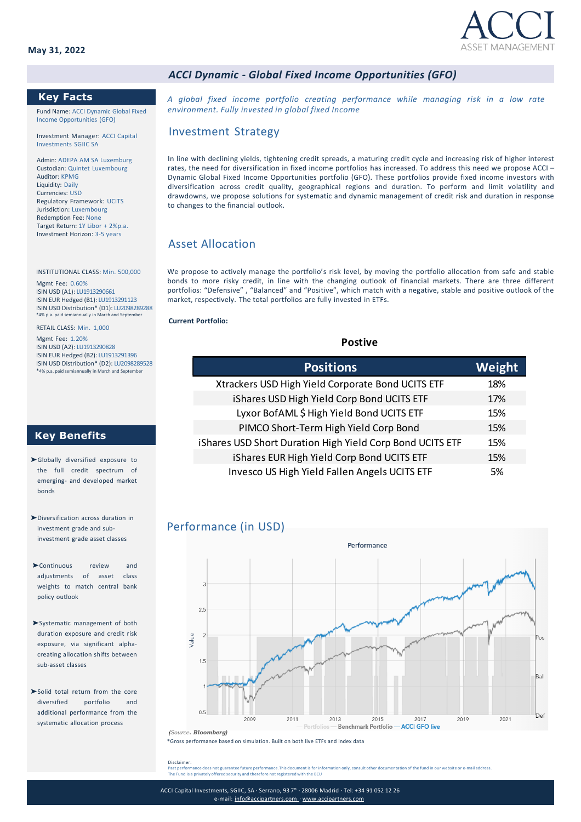

### *ACCI Dynamic - Global Fixed Income Opportunities (GFO)*

### **Key Facts**

Fund Name: ACCI Dynamic Global Fixed Income Opportunities (GFO)

Investment Manager: ACCI Capital Investments SGIIC SA

Admin: ADEPA AM SA Luxemburg Custodian: Quintet Luxembourg Auditor: KPMG Liquidity: Daily Currencies: USD Regulatory Framework: UCITS Jurisdiction: Luxembourg Redemption Fee: None Target Return: 1Y Libor + 2%p.a. Investment Horizon: 3-5 years

INSTITUTIONAL CLASS: Min. 500,000 Mgmt Fee: 0.60% ISIN USD (A1): LU1913290661 ISIN EUR Hedged (B1): LU1913291123 ISIN USD Distribution\* (D1): LU2098289288 .....<br>ally in M

RETAIL CLASS: Min. 1,000 Mgmt Fee: 1.20% ISIN USD (A2): LU1913290828 ISIN EUR Hedged (B2): LU1913291396 ISIN USD Distribution\* (D2): LU2098289528<br>\*4% p.a. paid semiannually in March and September

mually in March and September

## **Key Benefits**

- ➤Globally diversified exposure to the full credit spectrum of emerging- and developed market bonds
- ➤Diversification across duration in investment grade and subinvestment grade asset classes
- ➤Continuous review and adjustments of asset class weights to match central bank policy outlook
- ➤Systematic management of both duration exposure and credit risk exposure, via significant alphacreating allocation shifts between sub-asset classes
- ➤Solid total return from the core diversified portfolio and additional performance from the systematic allocation process

*A global fixed income portfolio creating performance while managing risk in a low rate environment. Fully invested in global fixed Income*

### Investment Strategy

In line with declining yields, tightening credit spreads, a maturing credit cycle and increasing risk of higher interest rates, the need for diversification in fixed income portfolios has increased. To address this need we propose ACCI – Dynamic Global Fixed Income Opportunities portfolio (GFO). These portfolios provide fixed income investors with diversification across credit quality, geographical regions and duration. To perform and limit volatility and drawdowns, we propose solutions for systematic and dynamic management of credit risk and duration in response to changes to the financial outlook.

# Asset Allocation

We propose to actively manage the portfolio's risk level, by moving the portfolio allocation from safe and stable bonds to more risky credit, in line with the changing outlook of financial markets. There are three different portfolios: "Defensive" , "Balanced" and "Positive", which match with a negative, stable and positive outlook of the market, respectively. The total portfolios are fully invested in ETFs.

### **Current Portfolio:**

**Postive**

| <b>Positions</b>                                          | Weight |
|-----------------------------------------------------------|--------|
| Xtrackers USD High Yield Corporate Bond UCITS ETF         | 18%    |
| iShares USD High Yield Corp Bond UCITS ETF                | 17%    |
| Lyxor BofAML \$ High Yield Bond UCITS ETF                 | 15%    |
| PIMCO Short-Term High Yield Corp Bond                     | 15%    |
| iShares USD Short Duration High Yield Corp Bond UCITS ETF | 15%    |
| iShares EUR High Yield Corp Bond UCITS ETF                | 15%    |
| Invesco US High Yield Fallen Angels UCITS ETF             | .5%    |

### Performance (in USD)



\*Gross performance based on simulation. Built on both live ETFs and index data *(Source. Bloomberg)*

Disclaimer:

Past performance does not guarantee future performance.This document is for information only, consult other documentation of the fund in our website or e-mail address.<br>The Fund is a privately offered security and therefore